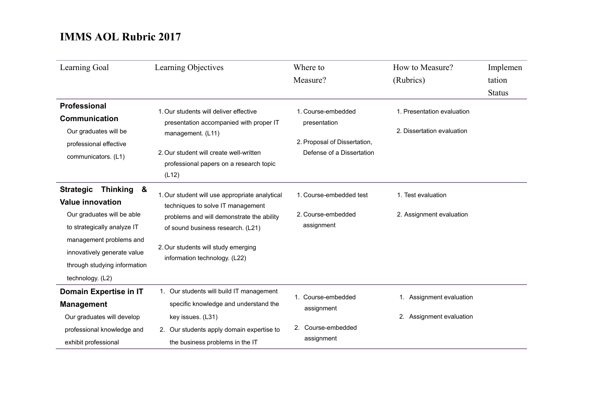| Learning Goal                                                                                                                                                                                                                                  | Learning Objectives                                                                                                                                                                                                                           | Where to<br>Measure?                                                                            | How to Measure?<br>(Rubrics)                             | Implemen<br>tation<br><b>Status</b> |
|------------------------------------------------------------------------------------------------------------------------------------------------------------------------------------------------------------------------------------------------|-----------------------------------------------------------------------------------------------------------------------------------------------------------------------------------------------------------------------------------------------|-------------------------------------------------------------------------------------------------|----------------------------------------------------------|-------------------------------------|
| <b>Professional</b><br><b>Communication</b><br>Our graduates will be<br>professional effective<br>communicators. (L1)                                                                                                                          | 1. Our students will deliver effective<br>presentation accompanied with proper IT<br>management. (L11)<br>2. Our student will create well-written<br>professional papers on a research topic<br>(L12)                                         | 1. Course-embedded<br>presentation<br>2. Proposal of Dissertation,<br>Defense of a Dissertation | 1. Presentation evaluation<br>2. Dissertation evaluation |                                     |
| <b>Strategic</b><br><b>Thinking</b><br>&<br><b>Value innovation</b><br>Our graduates will be able<br>to strategically analyze IT<br>management problems and<br>innovatively generate value<br>through studying information<br>technology. (L2) | 1. Our student will use appropriate analytical<br>techniques to solve IT management<br>problems and will demonstrate the ability<br>of sound business research. (L21)<br>2. Our students will study emerging<br>information technology. (L22) | 1. Course-embedded test<br>2. Course-embedded<br>assignment                                     | 1. Test evaluation<br>2. Assignment evaluation           |                                     |
| Domain Expertise in IT<br><b>Management</b><br>Our graduates will develop<br>professional knowledge and<br>exhibit professional                                                                                                                | 1. Our students will build IT management<br>specific knowledge and understand the<br>key issues. (L31)<br>2. Our students apply domain expertise to<br>the business problems in the IT                                                        | 1. Course-embedded<br>assignment<br>2. Course-embedded<br>assignment                            | 1. Assignment evaluation<br>2. Assignment evaluation     |                                     |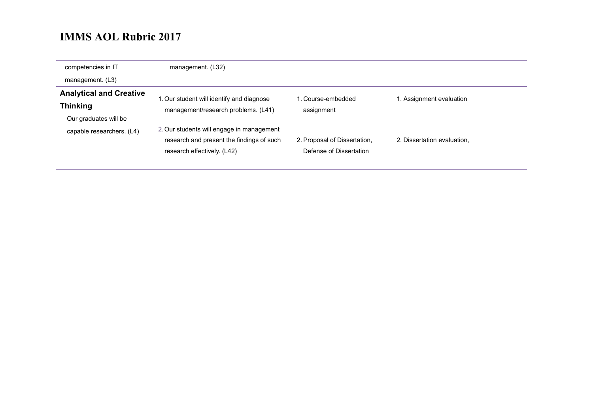| competencies in IT             | management. (L32)                         |                              |                             |
|--------------------------------|-------------------------------------------|------------------------------|-----------------------------|
| management. (L3)               |                                           |                              |                             |
| <b>Analytical and Creative</b> | 1. Our student will identify and diagnose | . Course-embedded            | 1. Assignment evaluation    |
| <b>Thinking</b>                | management/research problems. (L41)       | assignment                   |                             |
| Our graduates will be          |                                           |                              |                             |
| capable researchers. (L4)      | 2. Our students will engage in management |                              |                             |
|                                | research and present the findings of such | 2. Proposal of Dissertation, | 2. Dissertation evaluation, |
|                                | research effectively. (L42)               | Defense of Dissertation      |                             |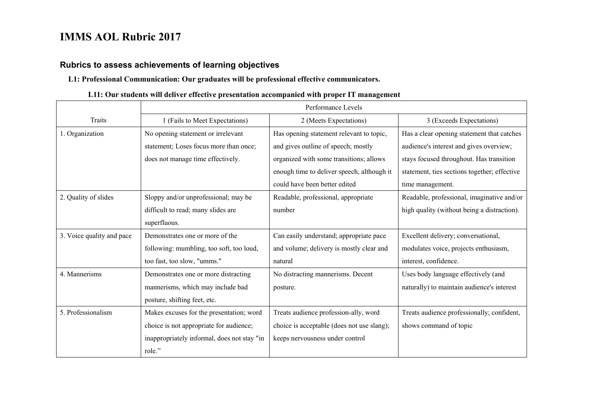#### **Rubrics to assess achievements of learning objectives**

#### **L1: Professional Communication: Our graduates will be professional effective communicators.**

#### **L11: Our students will deliver effective presentation accompanied with proper IT management**

|                           | Performance Levels                          |                                            |                                              |
|---------------------------|---------------------------------------------|--------------------------------------------|----------------------------------------------|
| Traits                    | 1 (Fails to Meet Expectations)              | 2 (Meets Expectations)                     | 3 (Exceeds Expectations)                     |
| 1. Organization           | No opening statement or irrelevant          | Has opening statement relevant to topic,   | Has a clear opening statement that catches   |
|                           | statement; Loses focus more than once;      | and gives outline of speech; mostly        | audience's interest and gives overview;      |
|                           | does not manage time effectively.           | organized with some transitions; allows    | stays focused throughout. Has transition     |
|                           |                                             | enough time to deliver speech, although it | statement, ties sections together; effective |
|                           |                                             | could have been better edited              | time management.                             |
| 2. Quality of slides      | Sloppy and/or unprofessional; may be        | Readable, professional, appropriate        | Readable, professional, imaginative and/or   |
|                           | difficult to read; many slides are          | number                                     | high quality (without being a distraction).  |
|                           | superfluous.                                |                                            |                                              |
| 3. Voice quality and pace | Demonstrates one or more of the             | Can easily understand; appropriate pace    | Excellent delivery; conversational,          |
|                           | following: mumbling, too soft, too loud,    | and volume; delivery is mostly clear and   | modulates voice, projects enthusiasm,        |
|                           | too fast, too slow, "umms."                 | natural                                    | interest, confidence.                        |
| 4. Mannerisms             | Demonstrates one or more distracting        | No distracting mannerisms. Decent          | Uses body language effectively (and          |
|                           | mannerisms, which may include bad           | posture.                                   | naturally) to maintain audience's interest   |
|                           | posture, shifting feet, etc.                |                                            |                                              |
| 5. Professionalism        | Makes excuses for the presentation; word    | Treats audience profession-ally, word      | Treats audience professionally; confident,   |
|                           | choice is not appropriate for audience;     | choice is acceptable (does not use slang); | shows command of topic                       |
|                           | inappropriately informal, does not stay "in | keeps nervousness under control            |                                              |
|                           | role."                                      |                                            |                                              |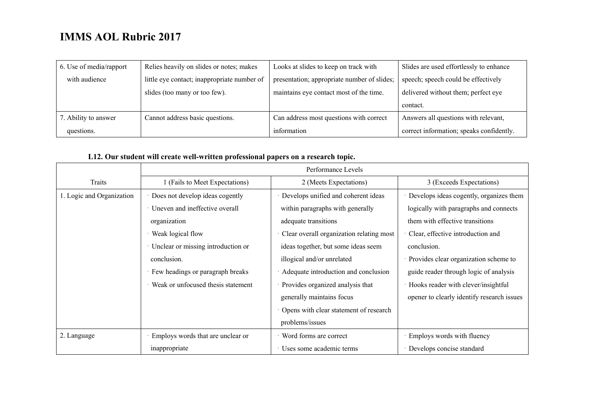| 6. Use of media/rapport | Relies heavily on slides or notes; makes    | Looks at slides to keep on track with       | Slides are used effortlessly to enhance  |
|-------------------------|---------------------------------------------|---------------------------------------------|------------------------------------------|
| with audience           | little eye contact; inappropriate number of | presentation; appropriate number of slides; | speech; speech could be effectively      |
|                         | slides (too many or too few).               | maintains eye contact most of the time.     | delivered without them; perfect eye      |
|                         |                                             |                                             | contact.                                 |
| 7. Ability to answer    | Cannot address basic questions.             | Can address most questions with correct     | Answers all questions with relevant,     |
| questions.              |                                             | information                                 | correct information; speaks confidently. |

### **L12. Our student will create well-written professional papers on a research topic.**

|                           | Performance Levels                 |                                          |                                            |
|---------------------------|------------------------------------|------------------------------------------|--------------------------------------------|
| Traits                    | (Fails to Meet Expectations)       | 2 (Meets Expectations)                   | 3 (Exceeds Expectations)                   |
| 1. Logic and Organization | Does not develop ideas cogently    | Develops unified and coherent ideas      | Develops ideas cogently, organizes them    |
|                           | Uneven and ineffective overall     | within paragraphs with generally         | logically with paragraphs and connects     |
|                           | organization                       | adequate transitions                     | them with effective transitions            |
|                           | Weak logical flow                  | Clear overall organization relating most | Clear, effective introduction and          |
|                           | Unclear or missing introduction or | ideas together, but some ideas seem      | conclusion.                                |
|                           | conclusion.                        | illogical and/or unrelated               | Provides clear organization scheme to      |
|                           | Few headings or paragraph breaks   | Adequate introduction and conclusion     | guide reader through logic of analysis     |
|                           | Weak or unfocused thesis statement | · Provides organized analysis that       | Hooks reader with clever/insightful        |
|                           |                                    | generally maintains focus                | opener to clearly identify research issues |
|                           |                                    | Opens with clear statement of research   |                                            |
|                           |                                    | problems/issues                          |                                            |
| 2. Language               | Employs words that are unclear or  | · Word forms are correct                 | Employs words with fluency                 |
|                           | inappropriate                      | Uses some academic terms                 | Develops concise standard                  |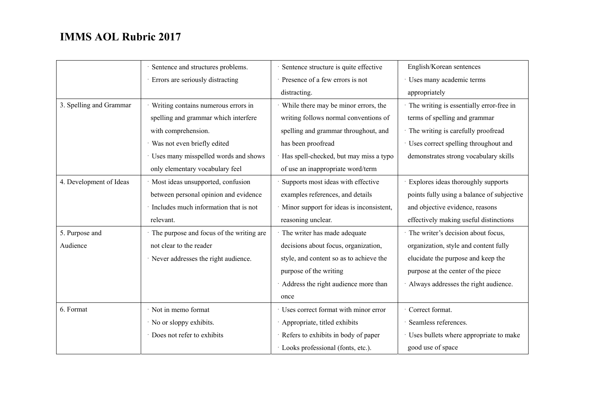|                         | Sentence and structures problems.        | Sentence structure is quite effective      | English/Korean sentences                   |
|-------------------------|------------------------------------------|--------------------------------------------|--------------------------------------------|
|                         | Errors are seriously distracting         | Presence of a few errors is not            | Uses many academic terms                   |
|                         |                                          | distracting.                               | appropriately                              |
| 3. Spelling and Grammar | Writing contains numerous errors in      | · While there may be minor errors, the     | The writing is essentially error-free in   |
|                         | spelling and grammar which interfere     | writing follows normal conventions of      | terms of spelling and grammar              |
|                         | with comprehension.                      | spelling and grammar throughout, and       | The writing is carefully proofread         |
|                         | · Was not even briefly edited            | has been proofread                         | · Uses correct spelling throughout and     |
|                         | Uses many misspelled words and shows     | · Has spell-checked, but may miss a typo   | demonstrates strong vocabulary skills      |
|                         | only elementary vocabulary feel          | of use an inappropriate word/term          |                                            |
| 4. Development of Ideas | · Most ideas unsupported, confusion      | Supports most ideas with effective         | Explores ideas thoroughly supports         |
|                         | between personal opinion and evidence    | examples references, and details           | points fully using a balance of subjective |
|                         | Includes much information that is not    | · Minor support for ideas is inconsistent, | and objective evidence, reasons            |
|                         | relevant.                                | reasoning unclear.                         | effectively making useful distinctions     |
| 5. Purpose and          | The purpose and focus of the writing are | · The writer has made adequate             | The writer's decision about focus,         |
| Audience                | not clear to the reader                  | decisions about focus, organization,       | organization, style and content fully      |
|                         | · Never addresses the right audience.    | style, and content so as to achieve the    | elucidate the purpose and keep the         |
|                         |                                          | purpose of the writing                     | purpose at the center of the piece         |
|                         |                                          | Address the right audience more than       | Always addresses the right audience.       |
|                         |                                          | once                                       |                                            |
| 6. Format               | · Not in memo format                     | · Uses correct format with minor error     | Correct format.                            |
|                         | · No or sloppy exhibits.                 | Appropriate, titled exhibits               | Seamless references.                       |
|                         | Does not refer to exhibits               | · Refers to exhibits in body of paper      | Uses bullets where appropriate to make     |
|                         |                                          | · Looks professional (fonts, etc.).        | good use of space                          |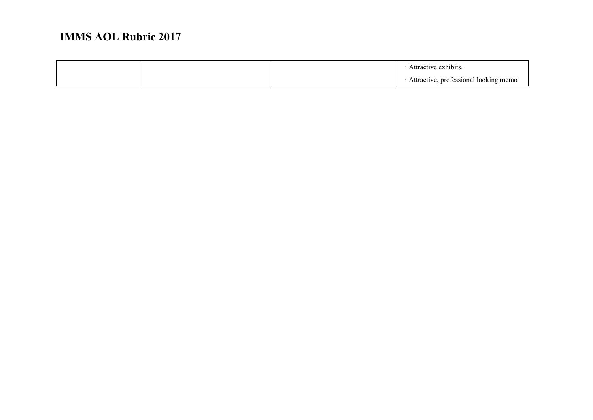|  | Attractive exhibits.                  |
|--|---------------------------------------|
|  | Attractive, professional looking memo |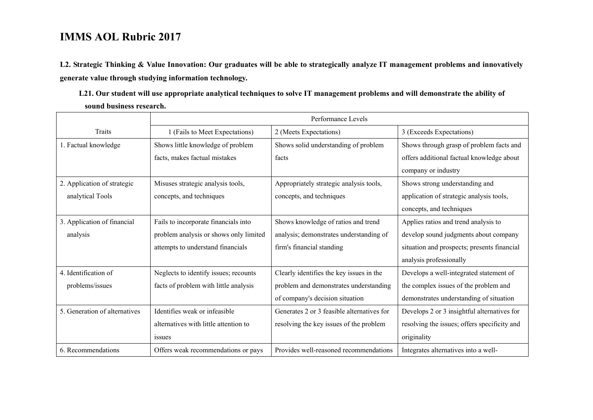**L2. Strategic Thinking & Value Innovation: Our graduates will be able to strategically analyze IT management problems and innovatively generate value through studying information technology.** 

| L21. Our student will use appropriate analytical techniques to solve IT management problems and will demonstrate the ability of |  |
|---------------------------------------------------------------------------------------------------------------------------------|--|
| sound business research.                                                                                                        |  |

|                               | Performance Levels                     |                                            |                                              |
|-------------------------------|----------------------------------------|--------------------------------------------|----------------------------------------------|
| <b>Traits</b>                 | 1 (Fails to Meet Expectations)         | 2 (Meets Expectations)                     | 3 (Exceeds Expectations)                     |
| 1. Factual knowledge          | Shows little knowledge of problem      | Shows solid understanding of problem       | Shows through grasp of problem facts and     |
|                               | facts, makes factual mistakes          | facts                                      | offers additional factual knowledge about    |
|                               |                                        |                                            | company or industry                          |
| 2. Application of strategic   | Misuses strategic analysis tools,      | Appropriately strategic analysis tools,    | Shows strong understanding and               |
| analytical Tools              | concepts, and techniques               | concepts, and techniques                   | application of strategic analysis tools,     |
|                               |                                        |                                            | concepts, and techniques                     |
| 3. Application of financial   | Fails to incorporate financials into   | Shows knowledge of ratios and trend        | Applies ratios and trend analysis to         |
| analysis                      | problem analysis or shows only limited | analysis; demonstrates understanding of    | develop sound judgments about company        |
|                               | attempts to understand financials      | firm's financial standing                  | situation and prospects; presents financial  |
|                               |                                        |                                            | analysis professionally                      |
| 4. Identification of          | Neglects to identify issues; recounts  | Clearly identifies the key issues in the   | Develops a well-integrated statement of      |
| problems/issues               | facts of problem with little analysis  | problem and demonstrates understanding     | the complex issues of the problem and        |
|                               |                                        | of company's decision situation            | demonstrates understanding of situation      |
| 5. Generation of alternatives | Identifies weak or infeasible          | Generates 2 or 3 feasible alternatives for | Develops 2 or 3 insightful alternatives for  |
|                               | alternatives with little attention to  | resolving the key issues of the problem    | resolving the issues; offers specificity and |
|                               | issues                                 |                                            | originality                                  |
| 6. Recommendations            | Offers weak recommendations or pays    | Provides well-reasoned recommendations     | Integrates alternatives into a well-         |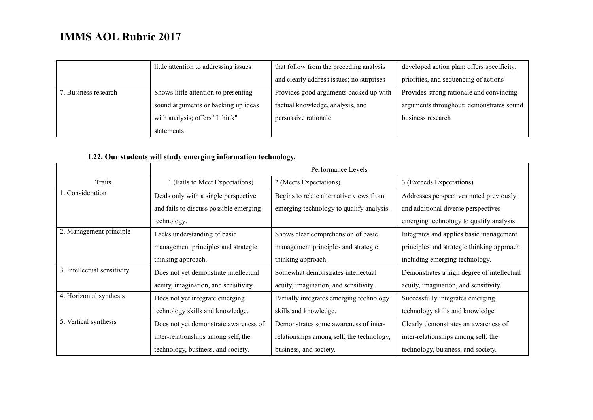|                      | little attention to addressing issues | that follow from the preceding analysis  | developed action plan; offers specificity, |
|----------------------|---------------------------------------|------------------------------------------|--------------------------------------------|
|                      |                                       | and clearly address issues; no surprises | priorities, and sequencing of actions      |
| 7. Business research | Shows little attention to presenting  | Provides good arguments backed up with   | Provides strong rationale and convincing   |
|                      | sound arguments or backing up ideas   | factual knowledge, analysis, and         | arguments throughout; demonstrates sound   |
|                      | with analysis; offers "I think"       | persuasive rationale                     | business research                          |
|                      | statements                            |                                          |                                            |

### **L22. Our students will study emerging information technology.**

|                             | Performance Levels                     |                                           |                                            |
|-----------------------------|----------------------------------------|-------------------------------------------|--------------------------------------------|
| Traits                      | 1 (Fails to Meet Expectations)         | 2 (Meets Expectations)                    | 3 (Exceeds Expectations)                   |
| 1. Consideration            | Deals only with a single perspective   | Begins to relate alternative views from   | Addresses perspectives noted previously,   |
|                             | and fails to discuss possible emerging | emerging technology to qualify analysis.  | and additional diverse perspectives        |
|                             | technology.                            |                                           | emerging technology to qualify analysis.   |
| 2. Management principle     | Lacks understanding of basic           | Shows clear comprehension of basic        | Integrates and applies basic management    |
|                             | management principles and strategic    | management principles and strategic       | principles and strategic thinking approach |
|                             | thinking approach.                     | thinking approach.                        | including emerging technology.             |
| 3. Intellectual sensitivity | Does not yet demonstrate intellectual  | Somewhat demonstrates intellectual        | Demonstrates a high degree of intellectual |
|                             | acuity, imagination, and sensitivity.  | acuity, imagination, and sensitivity.     | acuity, imagination, and sensitivity.      |
| 4. Horizontal synthesis     | Does not yet integrate emerging        | Partially integrates emerging technology  | Successfully integrates emerging           |
|                             | technology skills and knowledge.       | skills and knowledge.                     | technology skills and knowledge.           |
| 5. Vertical synthesis       | Does not yet demonstrate awareness of  | Demonstrates some awareness of inter-     | Clearly demonstrates an awareness of       |
|                             | inter-relationships among self, the    | relationships among self, the technology, | inter-relationships among self, the        |
|                             | technology, business, and society.     | business, and society.                    | technology, business, and society.         |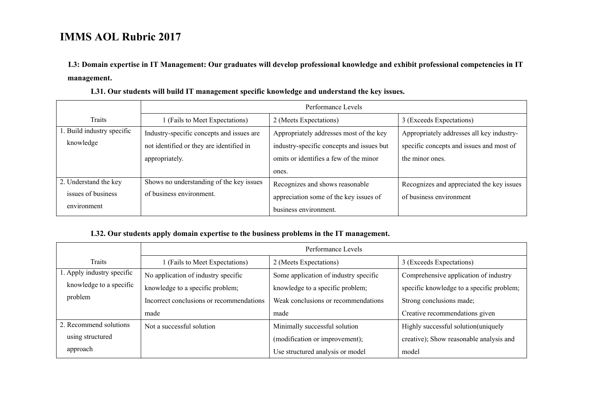**L3: Domain expertise in IT Management: Our graduates will develop professional knowledge and exhibit professional competencies in IT management.** 

|                            | Performance Levels                        |                                           |                                           |
|----------------------------|-------------------------------------------|-------------------------------------------|-------------------------------------------|
| Traits                     | 1 (Fails to Meet Expectations)            | 2 (Meets Expectations)                    | 3 (Exceeds Expectations)                  |
| 1. Build industry specific | Industry-specific concepts and issues are | Appropriately addresses most of the key   | Appropriately addresses all key industry- |
| knowledge                  | not identified or they are identified in  | industry-specific concepts and issues but | specific concepts and issues and most of  |
|                            | appropriately.                            | omits or identifies a few of the minor    | the minor ones.                           |
|                            |                                           | ones.                                     |                                           |
| 2. Understand the key      | Shows no understanding of the key issues  | Recognizes and shows reasonable           | Recognizes and appreciated the key issues |
| issues of business         | of business environment.                  | appreciation some of the key issues of    | of business environment                   |
| environment                |                                           | business environment.                     |                                           |

**L31. Our students will build IT management specific knowledge and understand the key issues.** 

#### **L32. Our students apply domain expertise to the business problems in the IT management.**

|                            | Performance Levels                       |                                       |                                           |
|----------------------------|------------------------------------------|---------------------------------------|-------------------------------------------|
| Traits                     | (Fails to Meet Expectations)             | 2 (Meets Expectations)                | 3 (Exceeds Expectations)                  |
| 1. Apply industry specific | No application of industry specific      | Some application of industry specific | Comprehensive application of industry     |
| knowledge to a specific    | knowledge to a specific problem;         | knowledge to a specific problem;      | specific knowledge to a specific problem; |
| problem                    | Incorrect conclusions or recommendations | Weak conclusions or recommendations   | Strong conclusions made;                  |
|                            | made                                     | made                                  | Creative recommendations given            |
| 2. Recommend solutions     | Not a successful solution                | Minimally successful solution         | Highly successful solution(uniquely       |
| using structured           |                                          | (modification or improvement);        | creative); Show reasonable analysis and   |
| approach                   |                                          | Use structured analysis or model      | model                                     |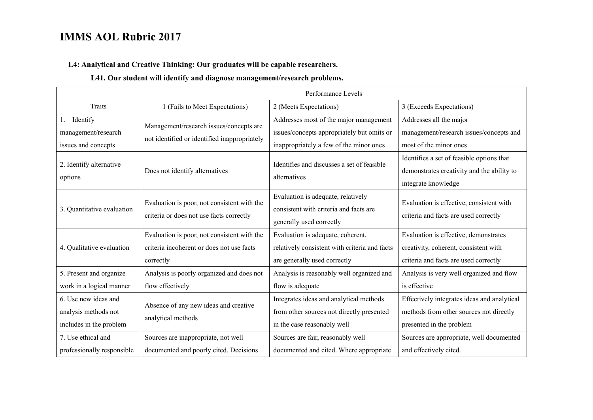#### **L4: Analytical and Creative Thinking: Our graduates will be capable researchers.**

#### **L41. Our student will identify and diagnose management/research problems.**

|                                                                         | Performance Levels                                                                                    |                                                                                                                                 |                                                                                                                         |
|-------------------------------------------------------------------------|-------------------------------------------------------------------------------------------------------|---------------------------------------------------------------------------------------------------------------------------------|-------------------------------------------------------------------------------------------------------------------------|
| <b>Traits</b>                                                           | 1 (Fails to Meet Expectations)                                                                        | 2 (Meets Expectations)                                                                                                          | 3 (Exceeds Expectations)                                                                                                |
| Identify<br>1.<br>management/research<br>issues and concepts            | Management/research issues/concepts are<br>not identified or identified inappropriately               | Addresses most of the major management<br>issues/concepts appropriately but omits or<br>inappropriately a few of the minor ones | Addresses all the major<br>management/research issues/concepts and<br>most of the minor ones                            |
| 2. Identify alternative<br>options                                      | Does not identify alternatives                                                                        | Identifies and discusses a set of feasible<br>alternatives                                                                      | Identifies a set of feasible options that<br>demonstrates creativity and the ability to<br>integrate knowledge          |
| 3. Quantitative evaluation                                              | Evaluation is poor, not consistent with the<br>criteria or does not use facts correctly               | Evaluation is adequate, relatively<br>consistent with criteria and facts are<br>generally used correctly                        | Evaluation is effective, consistent with<br>criteria and facts are used correctly                                       |
| 4. Qualitative evaluation                                               | Evaluation is poor, not consistent with the<br>criteria incoherent or does not use facts<br>correctly | Evaluation is adequate, coherent,<br>relatively consistent with criteria and facts<br>are generally used correctly              | Evaluation is effective, demonstrates<br>creativity, coherent, consistent with<br>criteria and facts are used correctly |
| 5. Present and organize<br>work in a logical manner                     | Analysis is poorly organized and does not<br>flow effectively                                         | Analysis is reasonably well organized and<br>flow is adequate                                                                   | Analysis is very well organized and flow<br>is effective                                                                |
| 6. Use new ideas and<br>analysis methods not<br>includes in the problem | Absence of any new ideas and creative<br>analytical methods                                           | Integrates ideas and analytical methods<br>from other sources not directly presented<br>in the case reasonably well             | Effectively integrates ideas and analytical<br>methods from other sources not directly<br>presented in the problem      |
| 7. Use ethical and<br>professionally responsible                        | Sources are inappropriate, not well<br>documented and poorly cited. Decisions                         | Sources are fair, reasonably well<br>documented and cited. Where appropriate                                                    | Sources are appropriate, well documented<br>and effectively cited.                                                      |